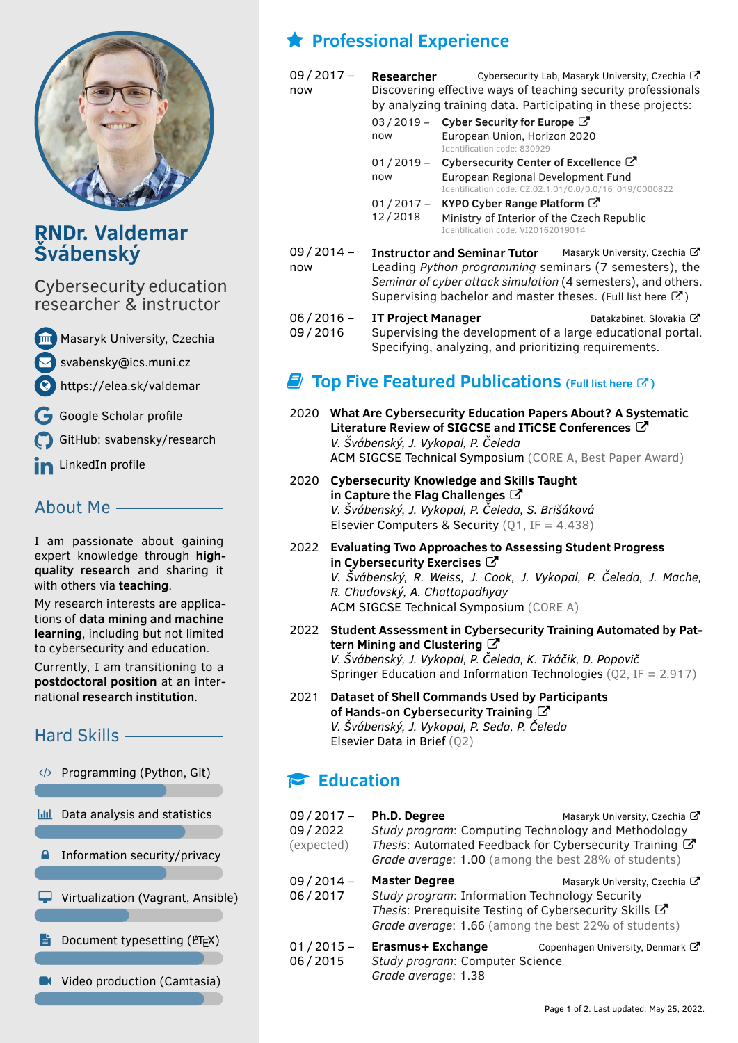

# **RNDr. Valdemar Švábenský**

Cybersecurity education researcher & instructor

[Masaryk University, Czechia](https://www.muni.cz/en/people/395868-valdemar-svabensky/publications)

[svabensky@ics.muni.cz](mailto:svabensky@ics.muni.cz)

<https://elea.sk/valdemar>

[Google Scholar profile](https://scholar.google.com/citations?user=CSMVlf0AAAAJ)

[GitHub: svabensky/research](https://github.com/svabensky/research)

in [LinkedIn profile](https://www.linkedin.com/in/valdemarsvabensky/)

## About Me

I am passionate about gaining expert knowledge through **highquality research** and sharing it with others via **teaching**.

My research interests are applications of **data mining and machine learning**, including but not limited to cybersecurity and education.

Currently, I am transitioning to a **postdoctoral position** at an international **research institution**.

# Hard Skills

 $\langle \rangle$  Programming (Python, Git)

**In Data analysis and statistics** 

- **A** Information security/privacy
- $\Box$  Virtualization (Vagrant, Ansible)
- **P** Document typesetting ( $ETK$ )
- **IN** Video production (Camtasia)

# **Professional Experience**

now

09 / 2017 – **Researcher** [Cybersecurity Lab, Masaryk University, Czechia](https://cybersec.fi.muni.cz/) C Discovering effective ways of teaching security professionals by analyzing training data. Participating in these projects:

|                                                                                             | 03 / 2019 - Cyber Security for Europe $\mathbb{Z}$                                           |
|---------------------------------------------------------------------------------------------|----------------------------------------------------------------------------------------------|
| now                                                                                         | European Union, Horizon 2020<br>Identification code: 830929                                  |
|                                                                                             | 01 / 2019 - Cybersecurity Center of Excellence C                                             |
| now                                                                                         | European Regional Development Fund<br>Identification code: CZ.02.1.01/0.0/0.0/16 019/0000822 |
| $01/2017 -$                                                                                 | KYPO Cyber Range Platform $\mathbb{Z}$                                                       |
| 12/2018<br>Ministry of Interior of the Czech Republic<br>Identification code: VI20162019014 |                                                                                              |
|                                                                                             |                                                                                              |

09 / 2014 – now **Instructor and Seminar Tutor** [Masaryk University, Czechia](https://muni.cz/en) C Leading *Python programming* seminars (7 semesters), the *Seminar of cyber attack simulation* (4 semesters), and others. Supervising bachelor and master theses. (Full list [here](https://elea.sk/valdemar/cv-appendix-teaching.pdf)  $\mathbb{Z}$ )

 $06 / 2016 -$ 09 / 2016 **IT Project Manager** [Datakabinet, Slovakia](https://www.datakabinet.sk/sk/Home.html) C Supervising the development of a large educational portal. Specifying, analyzing, and prioritizing requirements.

# *E* Top Five Featured Publications (Full list [here](https://elea.sk/valdemar/cv-appendix-publications.pdf)  $\mathbb{C}$ )

- 2020 **[What Are Cybersecurity Education Papers About? A Systematic](https://dl.acm.org/doi/10.1145/3328778.3366816)** [Literature Review of SIGCSE and ITiCSE Conferences](https://dl.acm.org/doi/10.1145/3328778.3366816)  $\mathbb{C}^n$ *V. Švábenský, J. Vykopal, P. Čeleda* ACM SIGCSE Technical Symposium (CORE A, Best Paper Award)
- 2020 **[Cybersecurity Knowledge and Skills Taught](https://www.sciencedirect.com/science/article/pii/S0167404820304272) [in Capture the Flag Challenges](https://www.sciencedirect.com/science/article/pii/S0167404820304272)** *V. Švábenský, J. Vykopal, P. Čeleda, S. Brišáková* Elsevier Computers & Security  $(01, IF = 4.438)$
- 2022 **[Evaluating Two Approaches to Assessing Student Progress](https://dl.acm.org/doi/abs/10.1145/3478431.3499414)** [in Cybersecurity Exercises](https://dl.acm.org/doi/abs/10.1145/3478431.3499414) C *V. Švábenský, R. Weiss, J. Cook, J. Vykopal, P. Čeleda, J. Mache, R. Chudovský, A. Chattopadhyay* ACM SIGCSE Technical Symposium (CORE A)
- 2022 **[Student Assessment in Cybersecurity Training Automated by Pat](https://link.springer.com/article/10.1007/s10639-022-10954-4)**[tern Mining and Clustering](https://link.springer.com/article/10.1007/s10639-022-10954-4)<sup>7</sup> *V. Švábenský, J. Vykopal, P. Čeleda, K. Tkáčik, D. Popovič* Springer Education and Information Technologies (Q2, IF = 2.917)
- 2021 **[Dataset of Shell Commands Used by Participants](https://www.sciencedirect.com/science/article/pii/S2352340921006806) [of Hands-on Cybersecurity Training](https://www.sciencedirect.com/science/article/pii/S2352340921006806)**  $\mathbb{Z}$ *V. Švábenský, J. Vykopal, P. Seda, P. Čeleda* Elsevier Data in Brief (Q2)

# **Education**

| $09/2017 -$<br>09/2022<br>(expected) | Ph.D. Degree<br>Study program: Computing Technology and Methodology<br>Thesis: Automated Feedback for Cybersecurity Training $\mathbb{Z}$<br>Grade average: 1.00 (among the best 28% of students) | Masaryk University, Czechia C    |
|--------------------------------------|---------------------------------------------------------------------------------------------------------------------------------------------------------------------------------------------------|----------------------------------|
| 09/2014-<br>06/2017                  | <b>Master Degree</b><br>Study program: Information Technology Security<br>Thesis: Prerequisite Testing of Cybersecurity Skills C<br>Grade average: 1.66 (among the best 22% of students)          | Masaryk University, Czechia C    |
| $01/2015 -$<br>06/2015               | Erasmus+ Exchange<br>Study program: Computer Science<br>Grade average: 1.38                                                                                                                       | Copenhagen University, Denmark C |